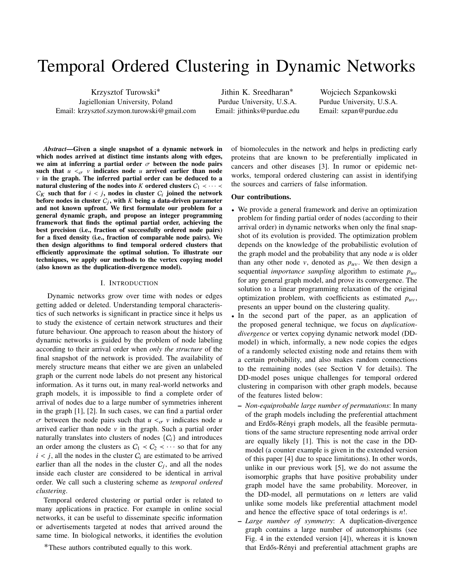# Temporal Ordered Clustering in Dynamic Networks

Krzysztof Turowski∗ Jagiellonian University, Poland Email: krzysztof.szymon.turowski@gmail.com

Jithin K. Sreedharan∗ Purdue University, U.S.A. Email: jithinks@purdue.edu

Wojciech Szpankowski Purdue University, U.S.A. Email: szpan@purdue.edu

*Abstract*—Given a single snapshot of a dynamic network in which nodes arrived at distinct time instants along with edges, we aim at inferring a partial order  $\sigma$  between the node pairs such that  $u <_{\sigma} v$  indicates node *u* arrived earlier than node  $\nu$  in the graph. The inferred partial order can be deduced to a natural clustering of the nodes into *K* ordered clusters  $C_1 \prec \cdots \prec$  $C_K$  such that for  $i < j$ , nodes in cluster  $C_i$  joined the network<br>before nodes in cluster  $C_i$ , with K being a data-driven parameter before nodes in cluster  $C_j$ , with  $K$  being a data-driven parameter and not known upfront. We first formulate our problem for a general dynamic graph, and propose an integer programming framework that finds the optimal partial order, achieving the best precision (i.e., fraction of successfully ordered node pairs) for a fixed density (i.e., fraction of comparable node pairs). We then design algorithms to find temporal ordered clusters that efficiently approximate the optimal solution. To illustrate our techniques, we apply our methods to the vertex copying model (also known as the duplication-divergence model).

#### I. INTRODUCTION

Dynamic networks grow over time with nodes or edges getting added or deleted. Understanding temporal characteristics of such networks is significant in practice since it helps us to study the existence of certain network structures and their future behaviour. One approach to reason about the history of dynamic networks is guided by the problem of node labeling according to their arrival order when *only the structure* of the final snapshot of the network is provided. The availability of merely structure means that either we are given an unlabeled graph or the current node labels do not present any historical information. As it turns out, in many real-world networks and graph models, it is impossible to find a complete order of arrival of nodes due to a large number of symmetries inherent in the graph [\[1\]](#page-5-0), [\[2\]](#page-5-1). In such cases, we can find a partial order  $\sigma$  between the node pairs such that  $u <_{\sigma} v$  indicates node *u* arrived earlier than node  $v$  in the graph. Such a partial order naturally translates into clusters of nodes  $\{C_i\}$  and introduces an order among the clusters as  $C_1 \prec C_2 \prec \cdots$  so that for any  $i < j$ , all the nodes in the cluster  $C_i$  are estimated to be arrived earlier than all the nodes in the cluster  $C_j$ , and all the nodes inside each cluster are considered to be identical in arrival order. We call such a clustering scheme as *temporal ordered clustering*.

Temporal ordered clustering or partial order is related to many applications in practice. For example in online social networks, it can be useful to disseminate specific information or advertisements targeted at nodes that arrived around the same time. In biological networks, it identifies the evolution

∗These authors contributed equally to this work.

of biomolecules in the network and helps in predicting early proteins that are known to be preferentially implicated in cancers and other diseases [\[3\]](#page-5-2). In rumor or epidemic networks, temporal ordered clustering can assist in identifying the sources and carriers of false information.

#### Our contributions.

- We provide a general framework and derive an optimization problem for finding partial order of nodes (according to their arrival order) in dynamic networks when only the final snapshot of its evolution is provided. The optimization problem depends on the knowledge of the probabilistic evolution of the graph model and the probability that any node *u* is older than any other node v, denoted as  $p_{uv}$ . We then design a sequential *importance sampling* algorithm to estimate  $p_{uv}$ for any general graph model, and prove its convergence. The solution to a linear programming relaxation of the original optimization problem, with coefficients as estimated  $p_{uv}$ , presents an upper bound on the clustering quality.
- In the second part of the paper, as an application of the proposed general technique, we focus on *duplicationdivergence* or vertex copying dynamic network model (DDmodel) in which, informally, a new node copies the edges of a randomly selected existing node and retains them with a certain probability, and also makes random connections to the remaining nodes (see Section [V](#page-3-0) for details). The DD-model poses unique challenges for temporal ordered clustering in comparison with other graph models, because of the features listed below:
	- *Non-equiprobable large number of permutations*: In many of the graph models including the preferential attachment and Erdős-Rényi graph models, all the feasible permutations of the same structure representing node arrival order are equally likely [\[1\]](#page-5-0). This is not the case in the DDmodel (a counter example is given in the extended version of this paper [\[4\]](#page-5-3) due to space limitations). In other words, unlike in our previous work [\[5\]](#page-5-4), we do not assume the isomorphic graphs that have positive probability under graph model have the same probability. Moreover, in the DD-model, all permutations on *n* letters are valid unlike some models like preferential attachment model and hence the effective space of total orderings is *n*!.
	- *Large number of symmetry*: A duplication-divergence graph contains a large number of automorphisms (see Fig. 4 in the extended version [\[4\]](#page-5-3)), whereas it is known that Erdős-Rényi and preferential attachment graphs are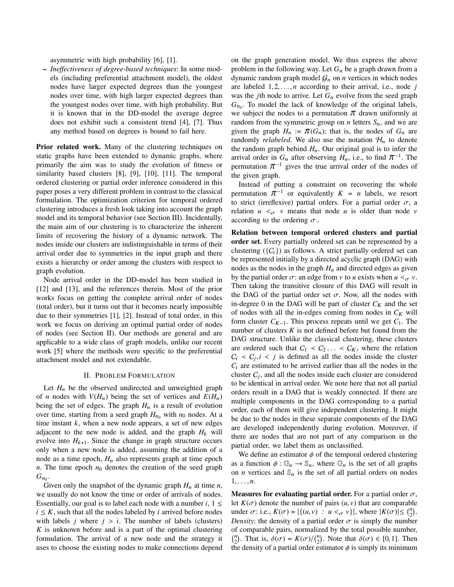asymmetric with high probability [\[6\]](#page-5-5), [\[1\]](#page-5-0).

– *Ineffectiveness of degree-based techniques*: In some models (including preferential attachment model), the oldest nodes have larger expected degrees than the youngest nodes over time, with high larger expected degrees than the youngest nodes over time, with high probability. But it is known that in the DD-model the average degree does not exhibit such a consistent trend [\[4\]](#page-5-3), [\[7\]](#page-5-6). Thus any method based on degrees is bound to fail here.

Prior related work. Many of the clustering techniques on static graphs have been extended to dynamic graphs, where primarily the aim was to study the evolution of fitness or similarity based clusters [\[8\]](#page-5-7), [\[9\]](#page-5-8), [\[10\]](#page-5-9), [\[11\]](#page-5-10). The temporal ordered clustering or partial order inference considered in this paper poses a very different problem in contrast to the classical formulation. The optimization criterion for temporal ordered clustering introduces a fresh look taking into account the graph model and its temporal behavior (see Section [III\)](#page-2-0). Incidentally, the main aim of our clustering is to characterize the inherent limits of recovering the history of a dynamic network. The nodes inside our clusters are indistinguishable in terms of their arrival order due to symmetries in the input graph and there exists a hierarchy or order among the clusters with respect to graph evolution.

Node arrival order in the DD-model has been studied in [\[12\]](#page-5-11) and [\[13\]](#page-5-12), and the references therein. Most of the prior works focus on getting the complete arrival order of nodes (total order), but it turns out that it becomes nearly impossible due to their symmetries [\[1\]](#page-5-0), [\[2\]](#page-5-1). Instead of total order, in this work we focus on deriving an optimal partial order of nodes of nodes (see Section [II\)](#page-1-0). Our methods are general and are applicable to a wide class of graph models, unlike our recent work [\[5\]](#page-5-4) where the methods were specific to the preferential attachment model and not extendable.

# II. PROBLEM FORMULATION

<span id="page-1-0"></span>Let  $H_n$  be the observed undirected and unweighted graph of *n* nodes with  $V(H_n)$  being the set of vertices and  $E(H_n)$ being the set of edges. The graph  $H_n$  is a result of evolution over time, starting from a seed graph  $H_{n_0}$  with  $n_0$  nodes. At a time instant *k*, when a new node appears, a set of new edges adjacent to the new node is added, and the graph  $H_k$  will evolve into  $H_{k+1}$ . Since the change in graph structure occurs only when a new node is added, assuming the addition of a node as a time epoch,  $H_n$  also represents graph at time epoch  $n$ . The time epoch  $n_0$  denotes the creation of the seed graph  $G_{n_0}$ .

Given only the snapshot of the dynamic graph  $H_n$  at time  $n$ , we usually do not know the time or order of arrivals of nodes. Essentially, our goal is to label each node with a number  $i, 1 \leq$  $i \leq K$ , such that all the nodes labeled by *i* arrived before nodes with labels  $j$  where  $j > i$ . The number of labels (clusters) *K* is unknown before and is a part of the optimal clustering formulation. The arrival of a new node and the strategy it uses to choose the existing nodes to make connections depend

on the graph generation model. We thus express the above problem in the following way. Let  $G_n$  be a graph drawn from a dynamic random graph model  $G_n$  on *n* vertices in which nodes are labeled <sup>1</sup>, <sup>2</sup>, . . . , *<sup>n</sup>* according to their arrival, i.e., node *<sup>j</sup>* was the *j*th node to arrive. Let  $G_n$  evolve from the seed graph  $G_{n_0}$ . To model the lack of knowledge of the original labels, we subject the nodes to a permutation  $\pi$  drawn uniformly at random from the symmetric group on *n* letters  $S_n$ , and we are given the graph  $H_n := \pi(G_n)$ ; that is, the nodes of  $G_n$  are randomly *relabeled*. We also use the notation  $\mathcal{H}_n$  to denote the random graph behind  $H_n$ . Our original goal is to infer the arrival order in *G*<sub>n</sub> after observing *H*<sub>n</sub>, i.e., to find  $\pi^{-1}$  permutation  $\pi^{-1}$  gives the true arrival order of the noc arrival order in  $G_n$  after observing  $H_n$ , i.e., to find  $\pi^{-1}$ . The permutation  $\pi^{-1}$  gives the true arrival order of the nodes of the given graph. the given graph.

Instead of putting a constraint on recovering the whole<br>permutation  $\pi^{-1}$  or equivalently  $K = n$  labels, we resort permutation  $\pi^{-1}$  or equivalently  $K = n$  labels, we resort<br>to strict (irreflexive) partial orders. For a partial order  $\sigma$ , a<br>relation  $u \leq v$  means that node u is older than node v relation  $u <_{\sigma} v$  means that node *u* is older than node *v* according to the ordering  $\sigma$ ..

Relation between temporal ordered clusters and partial order set. Every partially ordered set can be represented by a clustering  $({C_i})$  as follows. A strict partially ordered set can be represented initially by a directed acyclic graph (DAG) with nodes as the nodes in the graph  $H_n$  and directed edges as given by the partial order  $\sigma$ : an edge from v to *u* exists when  $u <_{\sigma} v$ . Then taking the transitive closure of this DAG will result in the DAG of the partial order set  $\sigma$ . Now, all the nodes with in-degree 0 in the DAG will be part of cluster  $C_K$  and the set of nodes with all the in-edges coming from nodes in  $C_K$  will form cluster  $C_{K-1}$ . This process repeats until we get  $C_1$ . The number of clusters  $K$  is not defined before but found from the DAG structure. Unlike the classical clustering, these clusters are ordered such that  $C_1 \prec C_2 \ldots \prec C_K$ , where the relation  $C_i \lt C_j, i \lt j$  is defined as all the nodes inside the cluster  $C_i$  are estimated to be arrived earlier than all the nodes in the  $C_i$  are estimated to be arrived earlier than all the nodes in the cluster  $C_j$ , and all the nodes inside each cluster are considered to be identical in arrival order. We note here that not all partial orders result in a DAG that is weakly connected. If there are multiple components in the DAG corresponding to a partial order, each of them will give independent clustering. It might be due to the nodes in these separate components of the DAG are developed independently during evolution. Moreover, if there are nodes that are not part of any comparison in the partial order, we label them as unclassified.

We define an estimator  $\phi$  of the temporal ordered clustering as a function  $\phi : \mathbb{G}_n \to \mathbb{S}_n$ , where  $\mathbb{G}_n$  is the set of all graphs on *n* vertices and  $\mathbb{S}_n$  is the set of all partial orders on nodes <sup>1</sup>, . . . , *<sup>n</sup>*.

**Measures for evaluating partial order.** For a partial order  $\sigma$ , let  $K(\sigma)$  denote the number of pairs  $(u, v)$  that are comparable under  $\sigma$ : i.e.,  $K(\sigma) = |\{(u, v) : u <_{\sigma} v\}|$ , where  $|K(\sigma)| \leq {n \choose 2}$ .<br>Density the density of a partial order  $\sigma$  is simply the number *Density*: the density of a partial order  $\sigma$  is simply the number of comparable pairs, normalized by the total possible number,  $\binom{n}{2}$ . That is,  $\delta(\sigma) = K(\sigma)/\binom{n}{2}$ . Note that  $\delta(\sigma) \in [0, 1]$ . Then the density of a partial order estimator  $\phi$  is simply its minimum the density of a partial order estimator  $\phi$  is simply its minimum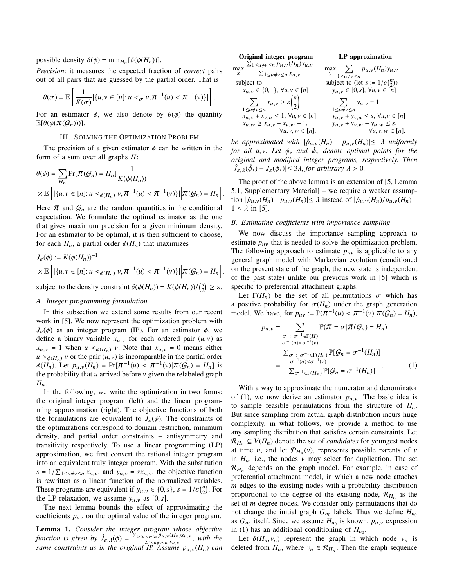# possible density  $\delta(\phi) = \min_{H_n} [\delta(\phi(H_n))].$

*Precision*: it measures the expected fraction of *correct* pairs out of all pairs that are guessed by the partial order. That is

$$
\theta(\sigma) = \mathbb{E}\left[\frac{1}{K(\sigma)}|\{u,v\in[n]:u<_\sigma v,\pi^{-1}(u)<\pi^{-1}(v)\}|\right].
$$

For an estimator  $\phi$ , we also denote by  $\theta(\phi)$  the quantity  $\mathbb{E}[\theta(\phi(\pi(\mathcal{G}_n)))]$ .

# III. SOLVING THE OPTIMIZATION PROBLEM

<span id="page-2-0"></span>The precision of a given estimator  $\phi$  can be written in the form of a sum over all graphs *H*:

$$
\theta(\phi) = \sum_{H_n} \Pr[\pi(\mathcal{G}_n) = H_n] \frac{1}{K(\phi(H_n))}
$$
  
×  $\mathbb{E}\left[ |\{u, v \in [n]: u <_{\phi(H_n)} v, \pi^{-1}(u) < \pi^{-1}(v)\}| \middle| \pi(\mathcal{G}_n) = H_n \right]$ 

Here  $\pi$  and  $\mathcal{G}_n$  are the random quantities in the conditional expectation. We formulate the optimal estimator as the one that gives maximum precision for a given minimum density. For an estimator to be optimal, it is then sufficient to choose, for each  $H_n$ , a partial order  $\phi(H_n)$  that maximizes

$$
J_{\varepsilon}(\phi) := K(\phi(H_n))^{-1}
$$
  
 
$$
\times \mathbb{E}\left[|\{u, v \in [n]: u <_{\phi(H_n)} v, \pi^{-1}(u) < \pi^{-1}(v)\}|\middle|\pi(G_n) = H_n\right]
$$

subject to the density constraint  $\delta(\phi(H_n)) = K(\phi(H_n))/\binom{n}{2} \ge \varepsilon$ .

# <span id="page-2-2"></span>*A. Integer programming formulation*

In this subsection we extend some results from our recent work in [\[5\]](#page-5-4). We now represent the optimization problem with  $J_{\varepsilon}(\phi)$  as an integer program (IP). For an estimator  $\phi$ , we define a binary variable  $x_{u,v}$  for each ordered pair  $(u, v)$  as  $x_{u,v} = 1$  when  $u \lt_{\phi(H_n)} v$ . Note that  $x_{u,v} = 0$  means either  $u >_{\phi(H_n)} v$  or the pair  $(u, v)$  is incomparable in the partial order  $\phi(H_n)$ . Let  $p_{u,v}(H_n) = \Pr[\pi^{-1}(u) < \pi^{-1}(v)|\pi(g_n) = H_n]$  is the probability that *u* arrived before *v* given the relabeled graph the probability that  $u$  arrived before  $v$  given the relabeled graph  $H_n$ .

In the following, we write the optimization in two forms: the original integer program (left) and the linear programming approximation (right). The objective functions of both the formulations are equivalent to  $J_{\varepsilon}(\phi)$ . The constraints of the optimizations correspond to domain restriction, minimum density, and partial order constraints – antisymmetry and transitivity respectively. To use a linear programming (LP) approximation, we first convert the rational integer program into an equivalent truly integer program. With the substitution  $s = 1/\sum_{1 \le u \ne v \le n} x_{u,v}$ , and  $y_{u,v} = sx_{u,v}$ , the objective function<br>is rewritten as a linear function of the normalized variables is rewritten as a linear function of the normalized variables. These programs are equivalent if  $y_{u,v} \in \{0, s\}$ ,  $s = 1/\varepsilon {n \choose 2}$ . For the I P relaxation we assume y as  $[0, s]$ the LP relaxation, we assume  $y_{u,v}$  as [0, *s*].

The next lemma bounds the effect of approximating the coefficients  $p_{uv}$  on the optimal value of the integer program.

Lemma 1. *Consider the integer program whose objective function is given by*  $\hat{J}_{\varepsilon,\lambda}(\phi) = \frac{\sum_{1 \le u \le v \le n} \hat{p}_{u,v}(H_n)x_{u,v}}{\sum_{1 \le u \ne v \le n} x_{u,v}}$ , with the function is given by  $\hat{J}_{\varepsilon,\lambda}(\phi) = \frac{\sum_{1 \le u \le v \le n} p_{u,v}(\overline{H}_n)x_{u,v}}{\sum_{1 \le u \ne v \le n} x_{u,v}}$ , with the same constraints as in the original IP. Assume  $p_{u,v}(H_n)$  can

| Original integer program                                                                          | LP approximation                                                      |
|---------------------------------------------------------------------------------------------------|-----------------------------------------------------------------------|
| $\sum_{1 \le u \ne v \le n} p_{u,v}(H_n)x_{u,v}$<br>max<br>x $\sum_{1 \le u \ne v \le n} x_{u,v}$ | $\max_{y} \sum_{1 \le u \ne v \le n} p_{u,v}(H_n) y_{u,v}$            |
| subject to                                                                                        | subject to (let $s := 1/\varepsilon {n \choose 2}$ )                  |
| $x_{u,v} \in \{0,1\}, \forall u,v \in [n]$                                                        | $y_{u,v} \in [0, s], \forall u, v \in [n]$                            |
| $\sum_{1 \le u \ne v \le n} x_{u,v} \ge \varepsilon {n \choose 2}$                                | $\sum_{1} y_{u,v} = 1$<br>$1 \le u \ne v \le n$                       |
| $x_{u,v} + x_{v,u} \leq 1, \forall u,v \in [n]$                                                   | $y_{u,v} + y_{v,u} \leq s, \forall u,v \in [n]$                       |
| $x_{u,w} \geq x_{u,v} + x_{v,w} - 1$ ,<br>$\forall u, v, w \in [n].$                              | $y_{u,v} + y_{v,w} - y_{u,w} \leq s$ ,<br>$\forall u, v, w \in [n]$ . |
|                                                                                                   |                                                                       |

*be approximated with*  $|\hat{p}_{u,v}(H_n) - p_{u,v}(H_n)| \leq \lambda$  *uniformly for all u, v. Let*  $φ_*$  *and*  $\hat{φ_*}$  *denote optimal points for the*<br>*original and modified integer programs respectively. Then original and modified integer programs, respectively. Then*  $|\hat{J}_{\varepsilon,\lambda}(\hat{\phi}_*) - J_{\varepsilon}(\phi_*)| \leq 3\lambda$ , *for arbitrary*  $\lambda > 0$ .

The proof of the above lemma is an extension of [\[5,](#page-5-4) Lemma 5.1, Supplementary Material] – we require a weaker assumption  $|\hat{p}_{u,v}(H_n) - p_{u,v}(H_n)| \le \lambda$  instead of  $|\hat{p}_{u,v}(H_n) - p_{u,v}(H_n) - p_{u,v}(H_n)|$  $1|\leq \lambda$  in [\[5\]](#page-5-4).

# *B. Estimating coefficients with importance sampling*

We now discuss the importance sampling approach to estimate  $p_{uv}$  that is needed to solve the optimization problem. The following approach to estimate  $p_{uv}$  is applicable to any general graph model with Markovian evolution (conditioned on the present state of the graph, the new state is independent of the past state) unlike our previous work in [\[5\]](#page-5-4) which is specific to preferential attachment graphs.

Let  $\Gamma(H_n)$  be the set of all permutations  $\sigma$  which has a positive probability for  $\sigma(H_n)$  under the graph generation model. We have, for  $p_{uv} := \mathbb{P}(\pi^{-1}(u) < \pi^{-1}(v) | \pi(\mathcal{G}_n) = H_n)$ ,

<span id="page-2-1"></span>
$$
p_{u,v} = \sum_{\substack{\sigma : \sigma^{-1} \in \Gamma(H) \\ \sigma^{-1}(u) < \sigma^{-1}(v)}} \mathbb{P}(\pi = \sigma | \pi(g_n) = H_n)
$$
\n
$$
= \frac{\sum_{\sigma : \sigma^{-1} \in \Gamma(H_n)} \mathbb{P}[g_n = \sigma^{-1}(H_n)]}{\sum_{\sigma^{-1} \in \Gamma(H_n)} \mathbb{P}[g_n = \sigma^{-1}(H_n)]}.
$$
\n(1)

With a way to approximate the numerator and denominator of [\(1\)](#page-2-1), we now derive an estimator  $p_{u,v}$ . The basic idea is to sample feasible permutations from the structure of  $H_n$ . But since sampling from actual graph distribution incurs huge complexity, in what follows, we provide a method to use any sampling distribution that satisfies certain constraints. Let  $\mathcal{R}_{H_n} \subseteq V(H_n)$  denote the set of *candidates* for youngest nodes at time *n*, and let  $\mathcal{P}_{H_n}(v)$ , represents possible parents of *v* in  $H_n$ , i.e., the nodes v may select for duplication. The set  $\mathcal{R}_{H_n}$  depends on the graph model. For example, in case of preferential attachment model, in which a new node attaches *m* edges to the existing nodes with a probability distribution proportional to the degree of the existing node,  $\mathcal{R}_{H_n}$  is the set of *m*-degree nodes. We consider only permutations that do not change the initial graph  $G_{n_0}$  labels. Thus we define  $H_{n_0}$ as  $G_{n_0}$  itself. Since we assume  $H_{n_0}$  is known,  $p_{u,v}$  expression<br>in (1) hes an additional conditioning of  $H$ in [\(1\)](#page-2-1) has an additional conditioning of  $H_{n_0}$ .

Let  $\delta(H_n, v_n)$  represent the graph in which node  $v_n$  is deleted from  $H_n$ , where  $v_n \in \mathcal{R}_{H_n}$ . Then the graph sequence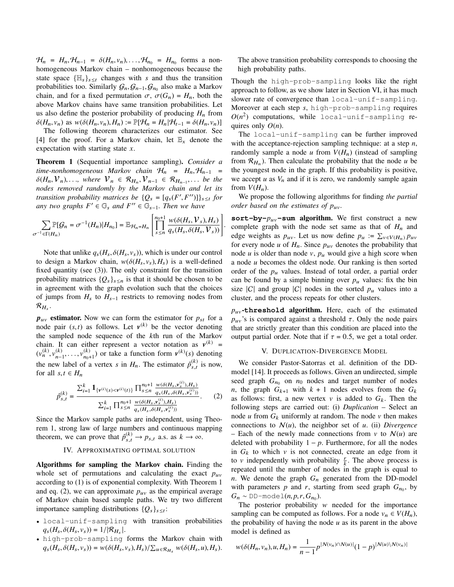$\mathcal{H}_n = H_n, \mathcal{H}_{n-1} = \delta(H_n, v_n), \dots, \mathcal{H}_{n_0} = H_{n_0}$  forms a non-<br>homogeneous Markov chain – nonhomogeneous because the homogeneous Markov chain – nonhomogeneous because the state space  $\{\mathbb{H}_s\}_{s\leq t}$  changes with *s* and thus the transition probabilities too. Similarly  $G_n$ ,  $G_{n-1}$ ,  $G_{n_0}$  also make a Markov<br>chain, and for a fixed permutation  $G_n G(G) = H$  both the chain, and for a fixed permutation  $\sigma$ ,  $\sigma(G_n) = H_n$ , both the above Markov chains have same transition probabilities. Let us also define the posterior probability of producing  $H_n$  from  $\delta(H_n, v_n)$  as  $w(\delta(H_n, v_n), H_n) := \mathbb{P}[\mathcal{H}_n = H_n | \mathcal{H}_{t-1} = \delta(H_n, v_n)]$ 

The following theorem characterizes our estimator. See [\[4\]](#page-5-3) for the proof. For a Markov chain, let  $\mathbb{E}_x$  denote the expectation with starting state *x*.

<span id="page-3-1"></span>Theorem 1 (Sequential importance sampling). *Consider a*  $time$ -nonhomogeneous Markov chain  $\mathcal{H}_n = H_n, \mathcal{H}_{n-1}$  $\delta(H_n, V_n), \ldots$ , where  $V_n \in \mathcal{R}_{H_n}, V_{n-1} \in \mathcal{R}_{H_{n-1}}, \ldots$  be the<br>nodes removed randomly by the Markov chain and let its *nodes removed randomly by the Markov chain and let its transition probability matrices be*  ${Q_s = [q_s(F', F'')]}_{s \leq t}$  *for any two graphs*  $F' \in \mathbb{G}$  *and*  $F'' \in \mathbb{G}$  *i*. *Then we have any two graphs*  $F' \in \mathbb{G}_s$  *and*  $F'' \in \mathbb{G}_{s-1}$ *. Then we have* 

$$
\sum_{\sigma^{-1}\in\Gamma(H_n)}\mathbb{P}[\mathcal{G}_n=\sigma^{-1}(H_n)|H_{n_0}]=\mathbb{E}_{\mathcal{H}_n=H_n}\left[\prod_{s\leq n}^{n_0+1}\frac{w(\delta(H_s,\mathcal{V}_s),H_s)}{q_s(H_s,\delta(H_s,\mathcal{V}_s))}\right]
$$

Note that unlike  $q_s(H_s, \delta(H_s, v_s))$ , which is under our control to design a Markov chain,  $w(\delta(H_s, v_s), H_s)$  is a well-defined fixed quantity (see [\(3\)](#page-4-0)). The only constraint for the transition probability matrices  ${Q_s}_{s \leq n}$  is that it should be chosen to be in agreement with the graph evolution such that the choices of jumps from *H*<sup>s</sup> to *H*s−<sup>1</sup> restricts to removing nodes from  $\mathcal{R}_{H_s}.$ 

 $p_{uv}$  estimator. Now we can form the estimator for  $p_{st}$  for a node pair  $(s,t)$  as follows. Let  $v^{(k)}$  be the vector denoting<br>the sampled node sequence of the k<sup>th</sup> run of the Markov the sampled node sequence of the *k*th run of the Markov chain. It can either represent a vector notation as  $v^{(k)}$  =  $(v_n^{(k)}, v_{n-}^{(k)})$  $(v_1, \ldots, v_{n_0+1}^{(k)})$  or take a function form  $v^{(k)}(s)$  denoting the new label of a vertex *s* in  $H_n$ . The estimator  $\hat{p}_{s,t}^{(k)}$  is now, for all *s*  $t \in H$ for all  $s, t \in H_n$ 

<span id="page-3-2"></span>
$$
\hat{p}_{s,t}^{(k)} = \frac{\sum_{i=1}^{k} \mathbf{1}_{\{\mathbf{v}^{(i)}(s) < \mathbf{v}^{(i)}(t)\}} \prod_{s \le n}^{n_0+1} \frac{w(\delta(H_s, \mathbf{v}_s^{(i)}), H_s)}{q_s(H_s, \delta(H_s, \mathbf{v}_s^{(i)}))}}{\sum_{i=1}^{k} \prod_{s \le n}^{n_0+1} \frac{w(\delta(H_s, \mathbf{v}_s^{(i)}), H_s)}{q_s(H_s, \delta(H_s, \mathbf{v}_s^{(i)}))}}.
$$
\n(2)

Since the Markov sample paths are independent, using Theorem [1,](#page-3-1) strong law of large numbers and continuous mapping theorem, we can prove that  $\hat{p}_{s,t}^{(k)} \to p_{s,t}$  a.s. as  $k \to \infty$ .

# IV. APPROXIMATING OPTIMAL SOLUTION

<span id="page-3-3"></span>Algorithms for sampling the Markov chain. Finding the whole set of permutations and calculating the exact  $p_{uv}$ according to [\(1\)](#page-2-1) is of exponential complexity. With Theorem [1](#page-3-1) and eq. [\(2\)](#page-3-2), we can approximate  $p_{uv}$  as the empirical average of Markov chain based sample paths. We try two different importance sampling distributions  ${Q_s}_{s \leq t}$ :

- local-unif-sampling with transition probabilities  $q_s(H_s, \delta(H_s, v_s)) = 1/|\mathcal{R}_{H_s}|.$
- high-prob-sampling forms the Markov chain with  $q_s(H_s, \delta(H_s, v_s)) = w(\delta(H_s, v_s), H_s)/\sum_{u \in \mathcal{R}_{H_s}} w(\delta(H_s, u), H_s).$

The above transition probability corresponds to choosing the high probability paths.

Though the high-prob-sampling looks like the right approach to follow, as we show later in Section [VI,](#page-4-1) it has much slower rate of convergence than local-unif-sampling. Moreover at each step *s*, high-prob-sampling requires  $O(n^2)$  computations, while local-unif-sampling requires only *O*(*n*).

The local-unif-sampling can be further improved with the acceptance-rejection sampling technique: at a step *n*, randomly sample a node  $u$  from  $V(H_n)$  (instead of sampling from  $\mathcal{R}_{H_n}$ ). Then calculate the probability that the node *u* be the youngest node in the graph. If this probability is positive, we accept  $u$  as  $V_n$  and if it is zero, we randomly sample again from  $V(H_n)$ .

We propose the following algorithms for finding *the partial order based on the estimates of p*uv*.*

**sort-by-** $p_{uv}$ -sum algorithm. We first construct a new complete graph with the node set same as that of  $H_n$  and edge weights as  $p_{uv}$ . Let us now define  $p_u := \sum_{v \in V(H_n)} p_{uv}$ for every node  $u$  of  $H_n$ . Since  $p_{uv}$  denotes the probability that node *u* is older than node *v*,  $p_u$  would give a high score when a node *u* becomes the oldest node. Our ranking is then sorted order of the  $p_u$  values. Instead of total order, a partial order can be found by a simple binning over  $p_u$  values: fix the bin size  $|C|$  and group  $|C|$  nodes in the sorted  $p_u$  values into a cluster, and the process repeats for other clusters.

 $p_{uv}$ -threshold algorithm. Here, each of the estimated  $p_{uv}$ 's is compared against a threshold τ. Only the node pairs that are strictly greater than this condition are placed into the output partial order. Note that if  $\tau = 0.5$ , we get a total order.

### V. DUPLICATION-DIVERGENCE MODEL

<span id="page-3-0"></span>We consider Pastor-Satorras et al. definition of the DDmodel [\[14\]](#page-5-13). It proceeds as follows. Given an undirected, simple seed graph  $G_{n_0}$  on  $n_0$  nodes and target number of nodes *n*, the graph  $G_{k+1}$  with  $k+1$  nodes evolves from the  $G_k$ as follows: first, a new vertex  $v$  is added to  $G_k$ . Then the following steps are carried out: (i) *Duplication* – Select an node  $u$  from  $G_k$  uniformly at random. The node  $v$  then makes connections to  $N(u)$ , the neighbor set of *u*. (ii) *Divergence* – Each of the newly made connections from  $v$  to  $\mathcal{N}(u)$  are deleted with probability  $1 - p$ . Furthermore, for all the nodes in  $G_k$  to which  $v$  is not connected, create an edge from it to v independently with probability  $\frac{r}{k}$ . The above process is repeated until the number of nodes in the graph is equal to *n*. We denote the graph  $G_n$  generated from the DD-model with parameters  $p$  and  $r$ , starting from seed graph  $G_{n_0}$ , by  $G_n \sim \text{DD-model}(n, p, r, G_{n_0}).$ <br>The posterior probability

The posterior probability  $w$  needed for the importance sampling can be computed as follows. For a node  $v_n \in V(H_n)$ , the probability of having the node *u* as its parent in the above model is defined as

$$
w(\delta(H_n,v_n),u,H_n)=\frac{1}{n-1}p^{\vert N(v_n)\cap N(u)\vert}(1-p)^{\vert N(u)\backslash N(v_n)\vert}
$$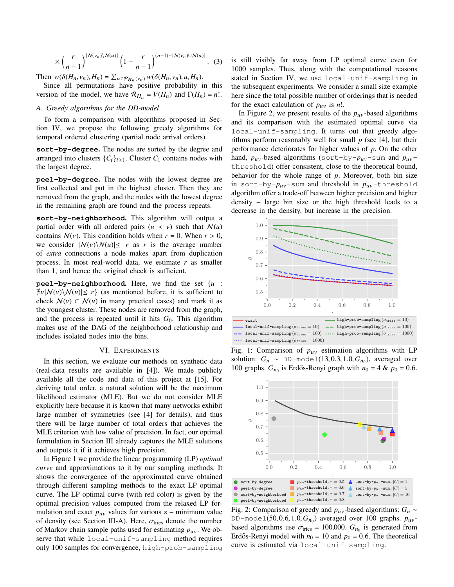$$
\times \left(\frac{r}{n-1}\right)^{|N(v_n)\setminus N(u)|} \left(1 - \frac{r}{n-1}\right)^{(n-1)-|N(v_n)\cup N(u)|}.\tag{3}
$$

Then  $w(\delta(H_n, v_n), H_n) = \sum_{u \in \mathcal{P}_{H_n}(v_n)} w(\delta(H_n, v_n), u, H_n)$ .<br>Since all permutations have positive probability is

Since all permutations have positive probability in this version of the model, we have  $\mathcal{R}_{H_n} = V(H_n)$  and  $\Gamma(H_n) = n!$ .

## *A. Greedy algorithms for the DD-model*

To form a comparison with algorithms proposed in Section [IV,](#page-3-3) we propose the following greedy algorithms for temporal ordered clustering (partial node arrival orders).

**sort-by-degree**. The nodes are sorted by the degree and arranged into clusters  $\{C_i\}_{i\geq 1}$ . Cluster  $C_1$  contains nodes with the largest degree.

**peel-by-degree**. The nodes with the lowest degree are first collected and put in the highest cluster. Then they are removed from the graph, and the nodes with the lowest degree in the remaining graph are found and the process repeats.

**sort-by-neighborhood**. This algorithm will output a partial order with all ordered pairs  $(u \lt v)$  such that  $\mathcal{N}(u)$ contains  $N(v)$ . This condition holds when  $r = 0$ . When  $r > 0$ , we consider  $|N(v)\setminus N(u)| \leq r$  as *r* is the average number of *extra* connections a node makes apart from duplication process. In most real-world data, we estimate *r* as smaller than 1, and hence the original check is sufficient.

**peel-by-neighborhood**. Here, we find the set {*u* :  $\exists v|N(v)\setminus N(u)|\leq r$  (as mentioned before, it is sufficient to check  $\mathcal{N}(v) \subset \mathcal{N}(u)$  in many practical cases) and mark it as the youngest cluster. These nodes are removed from the graph, and the process is repeated until it hits  $G_0$ . This algorithm makes use of the DAG of the neighborhood relationship and includes isolated nodes into the bins.

### VI. EXPERIMENTS

<span id="page-4-1"></span>In this section, we evaluate our methods on synthetic data (real-data results are available in [\[4\]](#page-5-3)). We made publicly available all the code and data of this project at [\[15\]](#page-5-14). For deriving total order, a natural solution will be the maximum likelihood estimator (MLE). But we do not consider MLE explicitly here because it is known that many networks exhibit large number of symmetries (see [\[4\]](#page-5-3) for details), and thus there will be large number of total orders that achieves the MLE criterion with low value of precision. In fact, our optimal formulation in Section [III](#page-2-0) already captures the MLE solutions and outputs it if it achieves high precision.

In Figure [1](#page-4-2) we provide the linear programming (LP) *optimal curve* and approximations to it by our sampling methods. It shows the convergence of the approximated curve obtained through different sampling methods to the exact LP optimal curve. The LP optimal curve (with red color) is given by the optimal precision values computed from the relaxed LP formulation and exact  $p_{uv}$  values for various  $\varepsilon$  – minimum value of density (see Section [III-A\)](#page-2-2). Here,  $\sigma_{\text{tries}}$  denote the number of Markov chain sample paths used for estimating  $p_{uv}$ . We observe that while local-unif-sampling method requires only 100 samples for convergence, high-prob-sampling

<span id="page-4-0"></span>is still visibly far away from LP optimal curve even for 1000 samples. Thus, along with the computational reasons stated in Section [IV,](#page-3-3) we use local-unif-sampling in the subsequent experiments. We consider a small size example here since the total possible number of orderings that is needed for the exact calculation of  $p_{uv}$  is *n*!.

In Figure [2,](#page-4-3) we present results of the  $p_{uv}$ -based algorithms and its comparison with the estimated optimal curve via local-unif-sampling. It turns out that greedy algorithms perform reasonably well for small *p* (see [\[4\]](#page-5-3), but their performance deteriorates for higher values of *p*. On the other hand,  $p_{uv}$ -based algorithms (sort-by- $p_{uv}$ -sum and  $p_{uv}$ threshold) offer consistent, close to the theoretical bound, behavior for the whole range of *p*. Moreover, both bin size in sort-by- $p_{uv}$ -sum and threshold in  $p_{uv}$ -threshold algorithm offer a trade-off between higher precision and higher density – large bin size or the high threshold leads to a decrease in the density, but increase in the precision.

<span id="page-4-2"></span>

Fig. 1: Comparison of  $p_{uv}$  estimation algorithms with LP solution:  $G_n \sim \text{DD-model}(13, 0.3, 1.0, G_{n_0})$ , averaged over<br>100 graphs  $G$  is Erdős-Repvi graph with  $n_0 = 4$  &  $n_0 = 0.6$ 100 graphs.  $G_{n_0}$  is Erdős-Renyi graph with  $n_0 = 4 \& p_0 = 0.6$ .

<span id="page-4-3"></span>

Fig. 2: Comparison of greedy and  $p_{uv}$ -based algorithms:  $G_n \sim$ DD-model(50, 0.6, 1.0,  $G_{n_0}$ ) averaged over 100 graphs.  $p_{uv}$ -<br>based algorithms use  $\sigma_{v} = 100,000$  G is generated from based algorithms use  $\sigma_{\text{tries}} = 100,000$ .  $G_{n_0}$  is generated from<br>Frdős-Benyi model with  $n_0 = 10$  and  $n_0 = 0.6$ . The theoretical Erdős-Renyi model with  $n_0 = 10$  and  $p_0 = 0.6$ . The theoretical curve is estimated via local-unif-sampling.